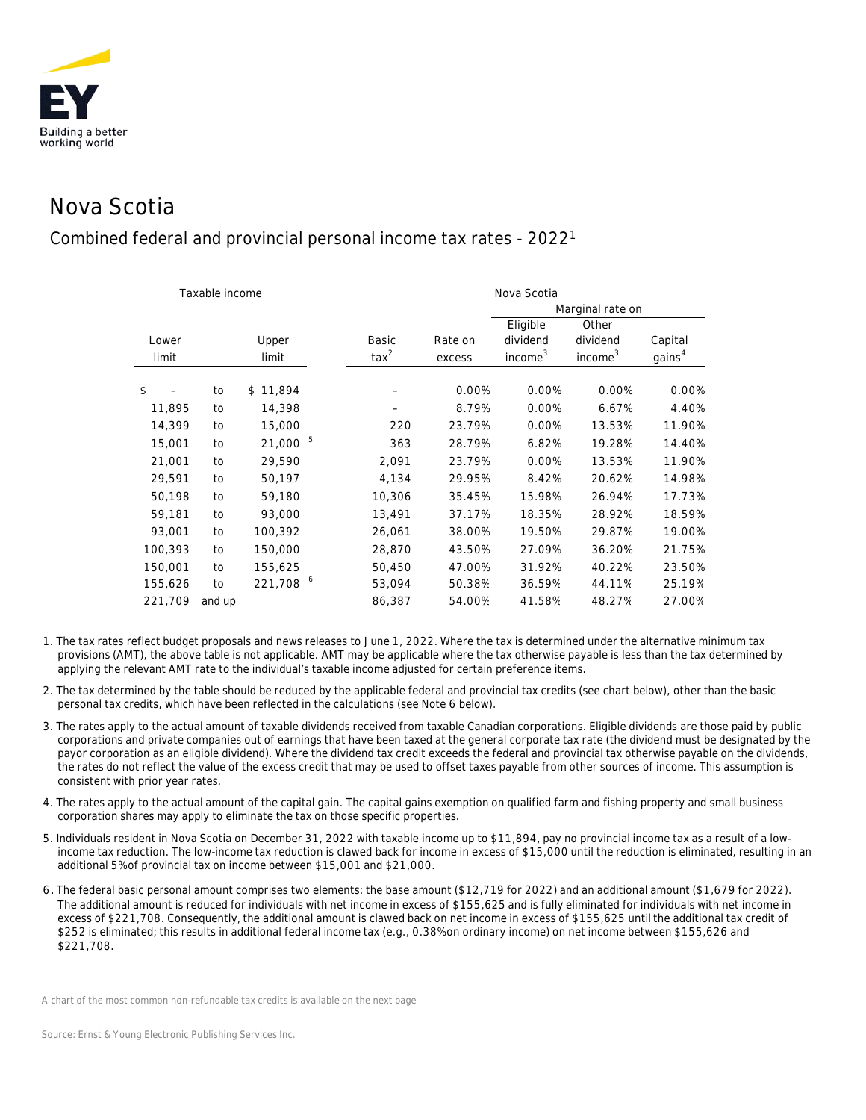

## Nova Scotia

## Combined federal and provincial personal income tax rates - 20221

|                | Taxable income |                |                         | Nova Scotia       |                                             |                                          |                               |  |  |  |
|----------------|----------------|----------------|-------------------------|-------------------|---------------------------------------------|------------------------------------------|-------------------------------|--|--|--|
|                |                |                |                         |                   |                                             | Marginal rate on                         |                               |  |  |  |
| Lower<br>limit |                | Upper<br>limit | Basic<br>$\text{tax}^2$ | Rate on<br>excess | Eligible<br>dividend<br>income <sup>3</sup> | Other<br>dividend<br>income <sup>3</sup> | Capital<br>gains <sup>4</sup> |  |  |  |
| \$             | to             | \$11,894       |                         | 0.00%             | 0.00%                                       | 0.00%                                    | 0.00%                         |  |  |  |
| 11,895         | to             | 14,398         |                         | 8.79%             | 0.00%                                       | 6.67%                                    | 4.40%                         |  |  |  |
| 14,399         | to             | 15,000         | 220                     | 23.79%            | 0.00%                                       | 13.53%                                   | 11.90%                        |  |  |  |
| 15,001         | to             | 21,000         | 5<br>363                | 28.79%            | 6.82%                                       | 19.28%                                   | 14.40%                        |  |  |  |
| 21,001         | to             | 29,590         | 2,091                   | 23.79%            | 0.00%                                       | 13.53%                                   | 11.90%                        |  |  |  |
| 29,591         | to             | 50,197         | 4,134                   | 29.95%            | 8.42%                                       | 20.62%                                   | 14.98%                        |  |  |  |
| 50,198         | to             | 59,180         | 10,306                  | 35.45%            | 15.98%                                      | 26.94%                                   | 17.73%                        |  |  |  |
| 59,181         | to             | 93,000         | 13,491                  | 37.17%            | 18.35%                                      | 28.92%                                   | 18.59%                        |  |  |  |
| 93,001         | to             | 100,392        | 26,061                  | 38.00%            | 19.50%                                      | 29.87%                                   | 19.00%                        |  |  |  |
| 100,393        | to             | 150,000        | 28,870                  | 43.50%            | 27.09%                                      | 36.20%                                   | 21.75%                        |  |  |  |
| 150,001        | to             | 155,625        | 50,450                  | 47.00%            | 31.92%                                      | 40.22%                                   | 23.50%                        |  |  |  |
| 155,626        | to             | 221,708        | 6<br>53,094             | 50.38%            | 36.59%                                      | 44.11%                                   | 25.19%                        |  |  |  |
| 221,709        | and up         |                | 86,387                  | 54.00%            | 41.58%                                      | 48.27%                                   | 27.00%                        |  |  |  |

- 1. The tax rates reflect budget proposals and news releases to June 1, 2022. Where the tax is determined under the alternative minimum tax provisions (AMT), the above table is not applicable. AMT may be applicable where the tax otherwise payable is less than the tax determined by applying the relevant AMT rate to the individual's taxable income adjusted for certain preference items.
- 2. The tax determined by the table should be reduced by the applicable federal and provincial tax credits (see chart below), other than the basic personal tax credits, which have been reflected in the calculations (see Note 6 below).
- 3. The rates apply to the actual amount of taxable dividends received from taxable Canadian corporations. Eligible dividends are those paid by public corporations and private companies out of earnings that have been taxed at the general corporate tax rate (the dividend must be designated by the payor corporation as an eligible dividend). Where the dividend tax credit exceeds the federal and provincial tax otherwise payable on the dividends, the rates do not reflect the value of the excess credit that may be used to offset taxes payable from other sources of income. This assumption is consistent with prior year rates.
- 4. The rates apply to the actual amount of the capital gain. The capital gains exemption on qualified farm and fishing property and small business corporation shares may apply to eliminate the tax on those specific properties.
- 5. Individuals resident in Nova Scotia on December 31, 2022 with taxable income up to \$11,894, pay no provincial income tax as a result of a lowincome tax reduction. The low-income tax reduction is clawed back for income in excess of \$15,000 until the reduction is eliminated, resulting in an additional 5% of provincial tax on income between \$15,001 and \$21,000.
- 6. The federal basic personal amount comprises two elements: the base amount (\$12,719 for 2022) and an additional amount (\$1,679 for 2022). The additional amount is reduced for individuals with net income in excess of \$155,625 and is fully eliminated for individuals with net income in excess of \$221,708. Consequently, the additional amount is clawed back on net income in excess of \$155,625 until the additional tax credit of \$252 is eliminated; this results in additional federal income tax (e.g., 0.38% on ordinary income) on net income between \$155,626 and \$221,708.